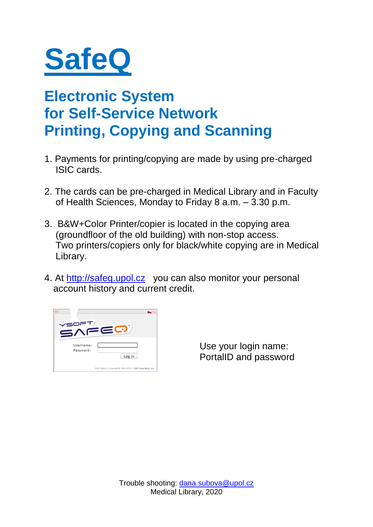

### **Electronic System for Self-Service Network Printing, Copying and Scanning**

- 1. Payments for printing/copying are made by using pre-charged ISIC cards.
- 2. The cards can be pre-charged in Medical Library and in Faculty of Health Sciences, Monday to Friday 8 a.m. – 3.30 p.m.
- 3. B&W+Color Printer/copier is located in the copying area (groundfloor of the old building) with non-stop access. Two printers/copiers only for black/white copying are in Medical Library.
- 4. At [http://safeq.upol.cz](http://safeq.upol.cz/) you can also monitor your personal account history and current credit.



Use your login name: PortalID and password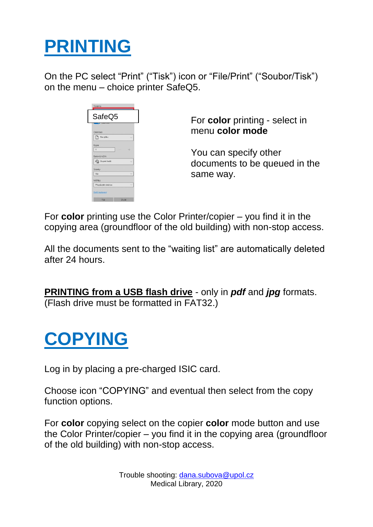## **PRINTING**

On the PC select "Print" ("Tisk") icon or "File/Print" ("Soubor/Tisk") on the menu – choice printer SafeQ5.



For **color** printing - select in menu **color mode**

You can specify other documents to be queued in the same way.

For **color** printing use the Color Printer/copier – you find it in the copying area (groundfloor of the old building) with non-stop access.

All the documents sent to the "waiting list" are automatically deleted after 24 hours.

**PRINTING from a USB flash drive** - only in *pdf* and *jpg* formats. (Flash drive must be formatted in FAT32.)

### **COPYING**

Log in by placing a pre-charged ISIC card.

Choose icon "COPYING" and eventual then select from the copy function options.

For **color** copying select on the copier **color** mode button and use the Color Printer/copier – you find it in the copying area (groundfloor of the old building) with non-stop access.